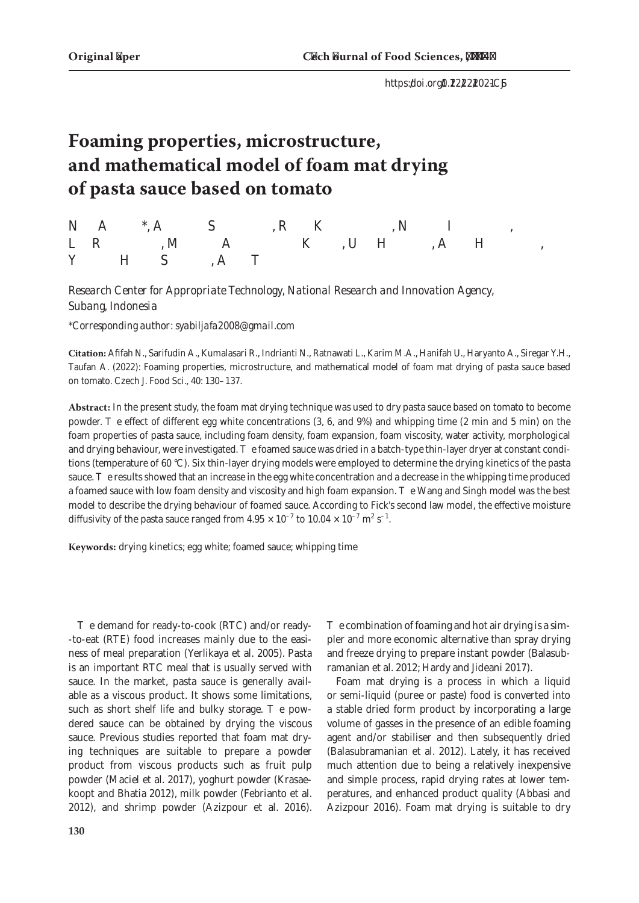# **Foaming properties, microstructure, and mathematical model of foam mat drying of pasta sauce based on tomato**

*Nok Afifah\*, Achmat Sarifudin, Rima Kumalasari, Novita Indrianti, Lia Ratnawati, Mirwan Ardiansyah Karim, Umi Hanifah, Aidil Haryanto, Yusnan Hasni Siregar, Andi Taufan*

*Research Center for Appropriate Technology, National Research and Innovation Agency, Subang, Indonesia*

*\*Corresponding author: syabiljafa2008@gmail.com*

**Citation:** Afifah N., Sarifudin A., Kumalasari R., Indrianti N., Ratnawati L., Karim M.A., Hanifah U., Haryanto A., Siregar Y.H., Taufan A. (2022): Foaming properties, microstructure, and mathematical model of foam mat drying of pasta sauce based on tomato. Czech J. Food Sci., 40: 130–137.

**Abstract:** In the present study, the foam mat drying technique was used to dry pasta sauce based on tomato to become powder. The effect of different egg white concentrations (3, 6, and 9%) and whipping time (2 min and 5 min) on the foam properties of pasta sauce, including foam density, foam expansion, foam viscosity, water activity, morphological and drying behaviour, were investigated. The foamed sauce was dried in a batch-type thin-layer dryer at constant conditions (temperature of 60 °C). Six thin-layer drying models were employed to determine the drying kinetics of the pasta sauce. The results showed that an increase in the egg white concentration and a decrease in the whipping time produced a foamed sauce with low foam density and viscosity and high foam expansion. The Wang and Singh model was the best model to describe the drying behaviour of foamed sauce. According to Fick's second law model, the effective moisture diffusivity of the pasta sauce ranged from  $4.95 \times 10^{-7}$  to  $10.04 \times 10^{-7}$  m<sup>2</sup> s<sup>-1</sup>.

**Keywords:** drying kinetics; egg white; foamed sauce; whipping time

The demand for ready-to-cook (RTC) and/or ready- -to-eat (RTE) food increases mainly due to the easiness of meal preparation (Yerlikaya et al. 2005). Pasta is an important RTC meal that is usually served with sauce. In the market, pasta sauce is generally available as a viscous product. It shows some limitations, such as short shelf life and bulky storage. The powdered sauce can be obtained by drying the viscous sauce. Previous studies reported that foam mat drying techniques are suitable to prepare a powder product from viscous products such as fruit pulp powder (Maciel et al. 2017), yoghurt powder (Krasaekoopt and Bhatia 2012), milk powder (Febrianto et al. 2012), and shrimp powder (Azizpour et al. 2016).

**130**

The combination of foaming and hot air drying is a simpler and more economic alternative than spray drying and freeze drying to prepare instant powder (Balasubramanian et al. 2012; Hardy and Jideani 2017).

Foam mat drying is a process in which a liquid or semi-liquid (puree or paste) food is converted into a stable dried form product by incorporating a large volume of gasses in the presence of an edible foaming agent and/or stabiliser and then subsequently dried (Balasubramanian et al. 2012). Lately, it has received much attention due to being a relatively inexpensive and simple process, rapid drying rates at lower temperatures, and enhanced product quality (Abbasi and Azizpour 2016). Foam mat drying is suitable to dry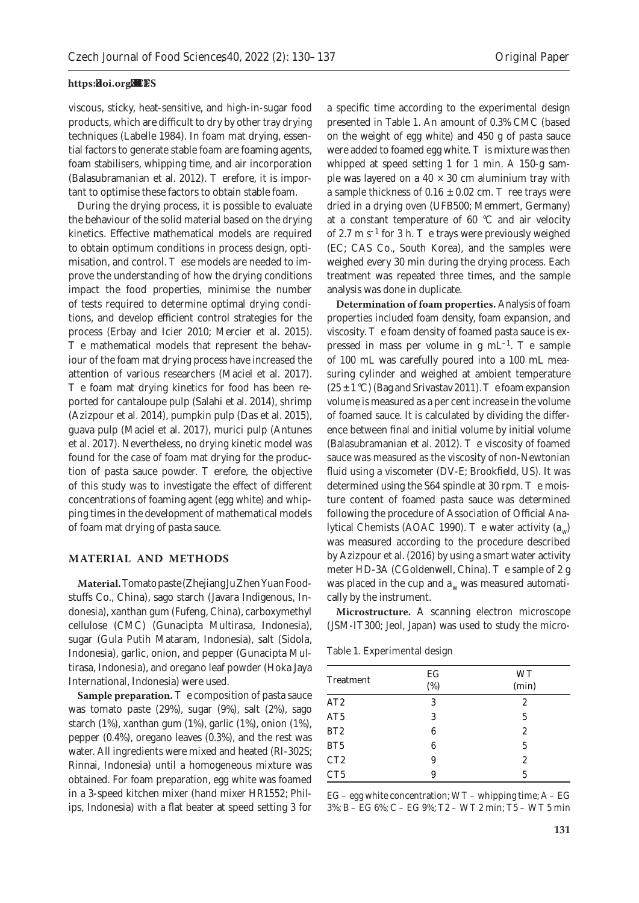viscous, sticky, heat-sensitive, and high-in-sugar food products, which are difficult to dry by other tray drying techniques (Labelle 1984). In foam mat drying, essential factors to generate stable foam are foaming agents, foam stabilisers, whipping time, and air incorporation (Balasubramanian et al. 2012). Therefore, it is important to optimise these factors to obtain stable foam.

During the drying process, it is possible to evaluate the behaviour of the solid material based on the drying kinetics. Effective mathematical models are required to obtain optimum conditions in process design, optimisation, and control. These models are needed to improve the understanding of how the drying conditions impact the food properties, minimise the number of tests required to determine optimal drying conditions, and develop efficient control strategies for the process (Erbay and Icier 2010; Mercier et al. 2015). The mathematical models that represent the behaviour of the foam mat drying process have increased the attention of various researchers (Maciel et al. 2017). The foam mat drying kinetics for food has been reported for cantaloupe pulp (Salahi et al. 2014), shrimp (Azizpour et al. 2014), pumpkin pulp (Das et al. 2015), guava pulp (Maciel et al. 2017), murici pulp (Antunes et al. 2017). Nevertheless, no drying kinetic model was found for the case of foam mat drying for the production of pasta sauce powder. Therefore, the objective of this study was to investigate the effect of different concentrations of foaming agent (egg white) and whipping times in the development of mathematical models of foam mat drying of pasta sauce.

#### **MATERIAL AND METHODS**

**Material.** Tomato paste (Zhejiang JuZhen Yuan Foodstuffs Co., China), sago starch (Javara Indigenous, Indonesia), xanthan gum (Fufeng, China), carboxymethyl cellulose (CMC) (Gunacipta Multirasa, Indonesia), sugar (Gula Putih Mataram, Indonesia), salt (Sidola, Indonesia), garlic, onion, and pepper (Gunacipta Multirasa, Indonesia), and oregano leaf powder (Hoka Jaya International, Indonesia) were used.

**Sample preparation.** The composition of pasta sauce was tomato paste (29%), sugar (9%), salt (2%), sago starch (1%), xanthan gum (1%), garlic (1%), onion (1%), pepper (0.4%), oregano leaves (0.3%), and the rest was water. All ingredients were mixed and heated (RI-302S; Rinnai, Indonesia) until a homogeneous mixture was obtained. For foam preparation, egg white was foamed in a 3-speed kitchen mixer (hand mixer HR1552; Philips, Indonesia) with a flat beater at speed setting 3 for

a specific time according to the experimental design presented in Table 1. An amount of 0.3% CMC (based on the weight of egg white) and 450 g of pasta sauce were added to foamed egg white. This mixture was then whipped at speed setting 1 for 1 min. A 150-g sample was layered on a  $40 \times 30$  cm aluminium tray with a sample thickness of  $0.16 \pm 0.02$  cm. Three trays were dried in a drying oven (UFB500; Memmert, Germany) at a constant temperature of 60  $^{\circ}$ C and air velocity of 2.7 m  $s^{-1}$  for 3 h. The trays were previously weighed (EC; CAS Co., South Korea), and the samples were weighed every 30 min during the drying process. Each treatment was repeated three times, and the sample analysis was done in duplicate.

**Determination of foam properties.** Analysis of foam properties included foam density, foam expansion, and viscosity. The foam density of foamed pasta sauce is expressed in mass per volume in  $g \text{ mL}^{-1}$ . The sample of 100 mL was carefully poured into a 100 mL measuring cylinder and weighed at ambient temperature  $(25 \pm 1 \degree C)$  (Bag and Srivastav 2011). The foam expansion volume is measured as a per cent increase in the volume of foamed sauce. It is calculated by dividing the difference between final and initial volume by initial volume (Balasubramanian et al. 2012). The viscosity of foamed sauce was measured as the viscosity of non-Newtonian fluid using a viscometer (DV-E; Brookfield, US). It was determined using the S64 spindle at 30 rpm. The moisture content of foamed pasta sauce was determined following the procedure of Association of Official Analytical Chemists (AOAC 1990). The water activity (*a<sub>w</sub>*) was measured according to the procedure described by Azizpour et al. (2016) by using a smart water activity meter HD-3A (CGoldenwell, China). The sample of 2 g was placed in the cup and  $a_w$  was measured automatically by the instrument.

**Microstructure.** A scanning electron microscope (JSM-IT300; Jeol, Japan) was used to study the micro-

Table 1. Experimental design

| Treatment       | EG<br>(%) | <b>WT</b><br>(min) |  |  |
|-----------------|-----------|--------------------|--|--|
| AT2             | 3         | $\overline{2}$     |  |  |
| AT <sub>5</sub> | 3         | 5                  |  |  |
| BT2             | 6         | 2                  |  |  |
| BT <sub>5</sub> | 6         | 5                  |  |  |
| CT <sub>2</sub> | 9         | 2                  |  |  |
| CT <sub>5</sub> | q         | 5                  |  |  |

EG – egg white concentration;  $WT -$  whipping time;  $A - EG$ 3%; B – EG 6%; C – EG 9%; T2 – WT 2 min; T5 – WT 5 min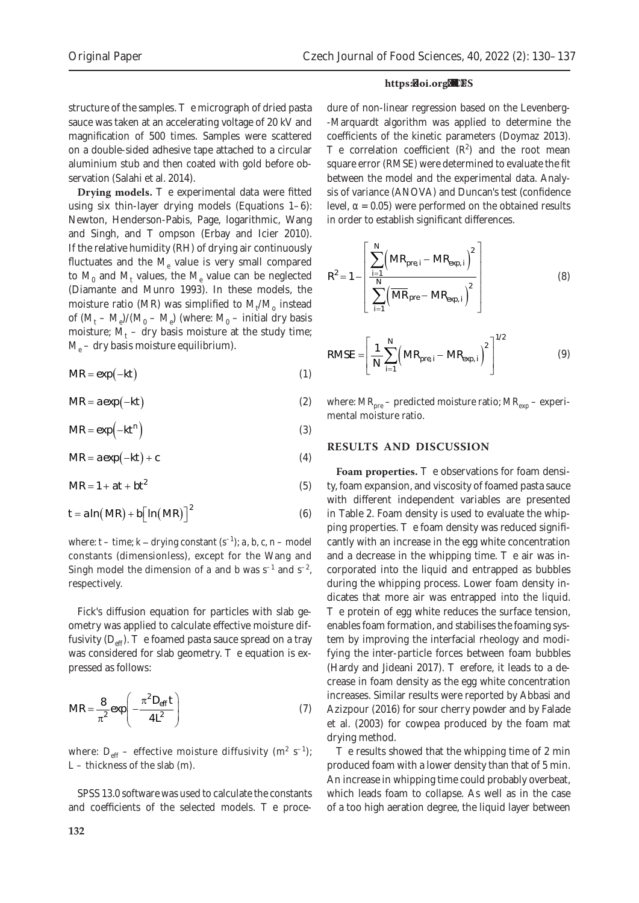structure of the samples. The micrograph of dried pasta sauce was taken at an accelerating voltage of 20 kV and magnification of 500 times. Samples were scattered on a double-sided adhesive tape attached to a circular aluminium stub and then coated with gold before observation (Salahi et al. 2014).

**Drying models.** The experimental data were fitted using six thin-layer drying models (Equations 1–6): Newton, Henderson-Pabis, Page, logarithmic, Wang and Singh, and Thompson (Erbay and Icier 2010). If the relative humidity (RH) of drying air continuously fluctuates and the  $M_e$  value is very small compared to  $M_0$  and  $M_t$  values, the  $M_e$  value can be neglected (Diamante and Munro 1993). In these models, the moisture ratio (MR) was simplified to  $M_t/M_{o}$  instead of  $(M_t - M_e)/(M_0 - M_e)$  (where:  $M_0$  – initial dry basis moisture;  $M_t$  – dry basis moisture at the study time; *Me* – dry basis moisture equilibrium).

$$
MR = \exp(-kt) \tag{1}
$$

$$
MR = a \exp(-kt) \tag{2}
$$

$$
MR = \exp(-kt^n) \tag{3}
$$

$$
MR = a \exp(-kt) + c \tag{4}
$$

$$
MR = 1 + at + bt^2 \tag{5}
$$

$$
t = a \ln(MR) + b \Big[ \ln(MR) \Big]^2 \tag{6}
$$

where:  $t - \text{time}$ ;  $k - \text{drying constant } (s^{-1})$ ;  $a, b, c, n - \text{model}$ constants (dimensionless), except for the Wang and Singh model the dimension of *a* and *b* was  $s^{-1}$  and  $s^{-2}$ , respectively.

Fick's diffusion equation for particles with slab geometry was applied to calculate effective moisture diffusivity  $(D_{\text{eff}})$ . The foamed pasta sauce spread on a tray was considered for slab geometry. The equation is expressed as follows:

$$
MR = \frac{8}{\pi^2} \exp\left(-\frac{\pi^2 D_{\text{eff}} t}{4L^2}\right) \tag{7}
$$

where:  $D_{\text{eff}}$  – effective moisture diffusivity (m<sup>2</sup> s<sup>-1</sup>); *L* – thickness of the slab (m).

SPSS 13.0 software was used to calculate the constants and coefficients of the selected models. The proce-

dure of non-linear regression based on the Levenberg- -Marquardt algorithm was applied to determine the coefficients of the kinetic parameters (Doymaz 2013). The correlation coefficient  $(R^2)$  and the root mean square error (RMSE) were determined to evaluate the fit between the model and the experimental data. Analysis of variance (ANOVA) and Duncan's test (confidence level,  $α = 0.05$ ) were performed on the obtained results in order to establish significant differences.

$$
R^{2} = 1 - \left[ \frac{\sum_{i=1}^{N} (MR_{pre, i} - MR_{\exp, i})^{2}}{\sum_{i=1}^{N} (MR_{pre} - MR_{\exp, i})^{2}} \right]
$$
(8)

$$
RMSE = \left[ \frac{1}{N} \sum_{i=1}^{N} \left( MR_{pre, i} - MR_{\exp, i} \right)^{2} \right]^{1/2}
$$
(9)

where:  $MR_{pre}$  – predicted moisture ratio;  $MR_{exp}$  – experimental moisture ratio*.*

## **RESULTS AND DISCUSSION**

**Foam properties.** The observations for foam density, foam expansion, and viscosity of foamed pasta sauce with different independent variables are presented in Table 2. Foam density is used to evaluate the whipping properties. The foam density was reduced significantly with an increase in the egg white concentration and a decrease in the whipping time. The air was incorporated into the liquid and entrapped as bubbles during the whipping process. Lower foam density indicates that more air was entrapped into the liquid. The protein of egg white reduces the surface tension, enables foam formation, and stabilises the foaming system by improving the interfacial rheology and modifying the inter-particle forces between foam bubbles (Hardy and Jideani 2017). Therefore, it leads to a decrease in foam density as the egg white concentration increases. Similar results were reported by Abbasi and Azizpour (2016) for sour cherry powder and by Falade et al. (2003) for cowpea produced by the foam mat drying method.

The results showed that the whipping time of 2 min produced foam with a lower density than that of 5 min. An increase in whipping time could probably overbeat, which leads foam to collapse. As well as in the case of a too high aeration degree, the liquid layer between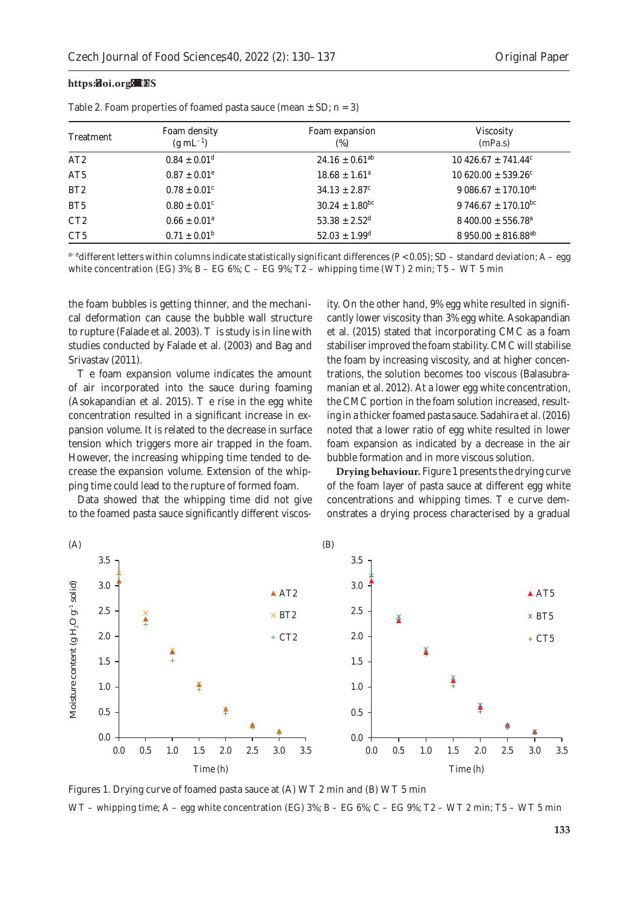| Treatment       | Foam density<br>$(g \text{ mL}^{-1})$ | Foam expansion<br>$(\%)$       | <b>Viscosity</b><br>(mPa.s)         |
|-----------------|---------------------------------------|--------------------------------|-------------------------------------|
| AT <sub>2</sub> | $0.84 \pm 0.01^d$                     | $24.16 \pm 0.61^{ab}$          | $10\,426.67 + 741.44^{\circ}$       |
| AT <sub>5</sub> | $0.87 \pm 0.01^e$                     | $18.68 \pm 1.61^a$             | $10620.00 \pm 539.26$ <sup>c</sup>  |
|                 |                                       |                                |                                     |
| BT2             | $0.78 \pm 0.01$ <sup>c</sup>          | $34.13 \pm 2.87^c$             | $9.086.67 \pm 170.10^{ab}$          |
| BT <sub>5</sub> | $0.80 \pm 0.01$ <sup>c</sup>          | $30.24 \pm 1.80$ <sup>bc</sup> | 9 746.67 $\pm$ 170.10 <sup>bc</sup> |
| CT2             | $0.66 \pm 0.01^a$                     | $53.38 \pm 2.52^{\rm d}$       | $8400.00 \pm 556.78^{\circ}$        |
| CT <sub>5</sub> | $0.71 \pm 0.01^{\rm b}$               | $52.03 \pm 1.99$ <sup>d</sup>  | $8950.00 \pm 816.88$ <sup>ab</sup>  |

Table 2. Foam properties of foamed pasta sauce (mean  $\pm$  SD; *n* = 3)

a<sup>-e</sup>different letters within columns indicate statistically significant differences (*P* < 0.05); SD – standard deviation; A – egg white concentration (EG)  $3\%$ ; B – EG  $6\%$ ; C – EG  $9\%$ ; T2 – whipping time (WT) 2 min; T5 – WT 5 min

the foam bubbles is getting thinner, and the mechanical deformation can cause the bubble wall structure to rupture (Falade et al. 2003). This study is in line with studies conducted by Falade et al. (2003) and Bag and Srivastav (2011).

The foam expansion volume indicates the amount of air incorporated into the sauce during foaming (Asokapandian et al. 2015). The rise in the egg white concentration resulted in a significant increase in expansion volume. It is related to the decrease in surface tension which triggers more air trapped in the foam. However, the increasing whipping time tended to decrease the expansion volume. Extension of the whipping time could lead to the rupture of formed foam.

Data showed that the whipping time did not give to the foamed pasta sauce significantly different viscosity. On the other hand, 9% egg white resulted in significantly lower viscosity than 3% egg white. Asokapandian et al. (2015) stated that incorporating CMC as a foam stabiliser improved the foam stability. CMC will stabilise the foam by increasing viscosity, and at higher concentrations, the solution becomes too viscous (Balasubramanian et al. 2012). At a lower egg white concentration, the CMC portion in the foam solution increased, resulting in a thicker foamed pasta sauce. Sadahira et al. (2016) noted that a lower ratio of egg white resulted in lower foam expansion as indicated by a decrease in the air bubble formation and in more viscous solution.

**Drying behaviour.** Figure 1 presents the drying curve of the foam layer of pasta sauce at different egg white concentrations and whipping times. The curve demonstrates a drying process characterised by a gradual



Figures 1. Drying curve of foamed pasta sauce at (A) WT 2 min and (B) WT 5 min WT – whipping time;  $A - egg$  white concentration (EG) 3%;  $B - EG$  6%;  $C - EG$  9%; T2 – WT 2 min; T5 – WT 5 min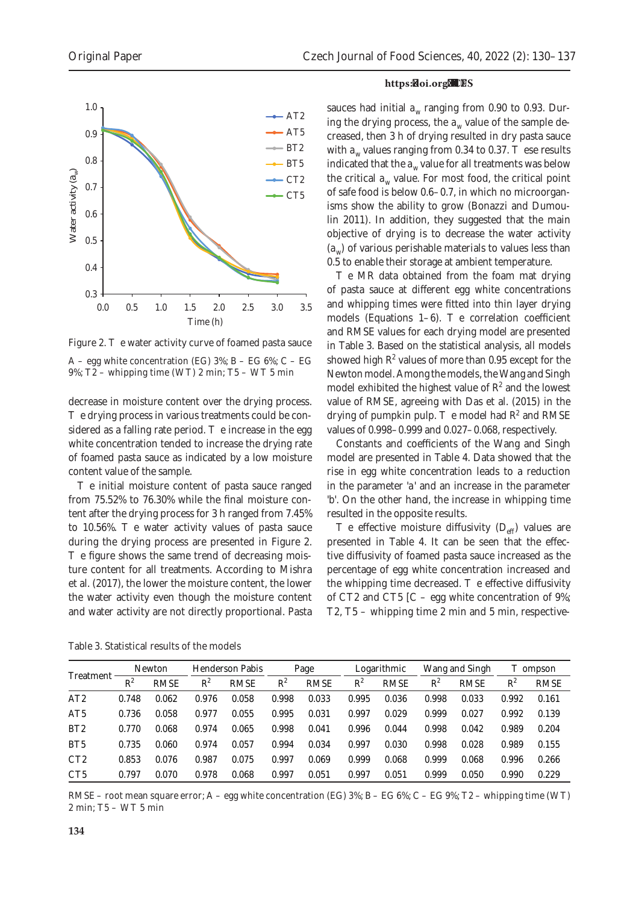

Figure 2. The water activity curve of foamed pasta sauce  $A - egg$  white concentration (EG) 3%; B – EG 6%; C – EG 9%; T2 – whipping time (WT) 2 min; T5 – WT 5 min

decrease in moisture content over the drying process. The drying process in various treatments could be considered as a falling rate period. The increase in the egg white concentration tended to increase the drying rate of foamed pasta sauce as indicated by a low moisture content value of the sample.

The initial moisture content of pasta sauce ranged from 75.52% to 76.30% while the final moisture content after the drying process for 3 h ranged from 7.45% to 10.56%. The water activity values of pasta sauce during the drying process are presented in Figure 2. The figure shows the same trend of decreasing moisture content for all treatments. According to Mishra et al. (2017), the lower the moisture content, the lower the water activity even though the moisture content and water activity are not directly proportional. Pasta

#### https://doi.org/10.17221/221/2021-CJFS

sauces had initial  $a_w$  ranging from 0.90 to 0.93. During the drying process, the  $a_w$  value of the sample decreased, then 3 h of drying resulted in dry pasta sauce with  $a_w$  values ranging from 0.34 to 0.37. These results indicated that the  $a_w$  value for all treatments was below the critical  $a_w$  value. For most food, the critical point of safe food is below 0.6–0.7, in which no microorganisms show the ability to grow (Bonazzi and Dumoulin 2011). In addition, they suggested that the main objective of drying is to decrease the water activity (*a<sub>w</sub>*) of various perishable materials to values less than 0.5 to enable their storage at ambient temperature.

The MR data obtained from the foam mat drying of pasta sauce at different egg white concentrations and whipping times were fitted into thin layer drying models (Equations 1–6). The correlation coefficient and RMSE values for each drying model are presented in Table 3. Based on the statistical analysis, all models showed high  $R^2$  values of more than 0.95 except for the Newton model. Among the models, the Wang and Singh model exhibited the highest value of  $R^2$  and the lowest value of RMSE, agreeing with Das et al. (2015) in the drying of pumpkin pulp. The model had  $R^2$  and RMSE values of 0.998–0.999 and 0.027–0.068, respectively.

Constants and coefficients of the Wang and Singh model are presented in Table 4. Data showed that the rise in egg white concentration leads to a reduction in the parameter '*a*' and an increase in the parameter '*b*'. On the other hand, the increase in whipping time resulted in the opposite results.

The effective moisture diffusivity  $(D_{\text{eff}})$  values are presented in Table 4. It can be seen that the effective diffusivity of foamed pasta sauce increased as the percentage of egg white concentration increased and the whipping time decreased. The effective diffusivity of CT2 and CT5  $\overline{C}$  – egg white concentration of 9%; T2, T5 – whipping time 2 min and 5 min, respective-

| Table 3. Statistical results of the models |
|--------------------------------------------|
|--------------------------------------------|

| Treatment       | Newton |       | Henderson Pabis |             | Page  |       | Logarithmic |             | Wang and Singh |             | Thompson |       |
|-----------------|--------|-------|-----------------|-------------|-------|-------|-------------|-------------|----------------|-------------|----------|-------|
|                 | $R^2$  | RMSE  | $R^2$           | <b>RMSE</b> | $R^2$ | RMSE  | $R^2$       | <b>RMSE</b> | $R^2$          | <b>RMSE</b> | $R^2$    | RMSE  |
| AT2             | 0.748  | 0.062 | 0.976           | 0.058       | 0.998 | 0.033 | 0.995       | 0.036       | 0.998          | 0.033       | 0.992    | 0.161 |
| AT <sub>5</sub> | 0.736  | 0.058 | 0.977           | 0.055       | 0.995 | 0.031 | 0.997       | 0.029       | 0.999          | 0.027       | 0.992    | 0.139 |
| BT <sub>2</sub> | 0.770  | 0.068 | 0.974           | 0.065       | 0.998 | 0.041 | 0.996       | 0.044       | 0.998          | 0.042       | 0.989    | 0.204 |
| BT <sub>5</sub> | 0.735  | 0.060 | 0.974           | 0.057       | 0.994 | 0.034 | 0.997       | 0.030       | 0.998          | 0.028       | 0.989    | 0.155 |
| CT2             | 0.853  | 0.076 | 0.987           | 0.075       | 0.997 | 0.069 | 0.999       | 0.068       | 0.999          | 0.068       | 0.996    | 0.266 |
| CT <sub>5</sub> | 0.797  | 0.070 | 0.978           | 0.068       | 0.997 | 0.051 | 0.997       | 0.051       | 0.999          | 0.050       | 0.990    | 0.229 |

RMSE – root mean square error; A – egg white concentration (EG)  $3\%$ ; B – EG 6%; C – EG 9%; T2 – whipping time (WT) 2 min; T5 – WT 5 min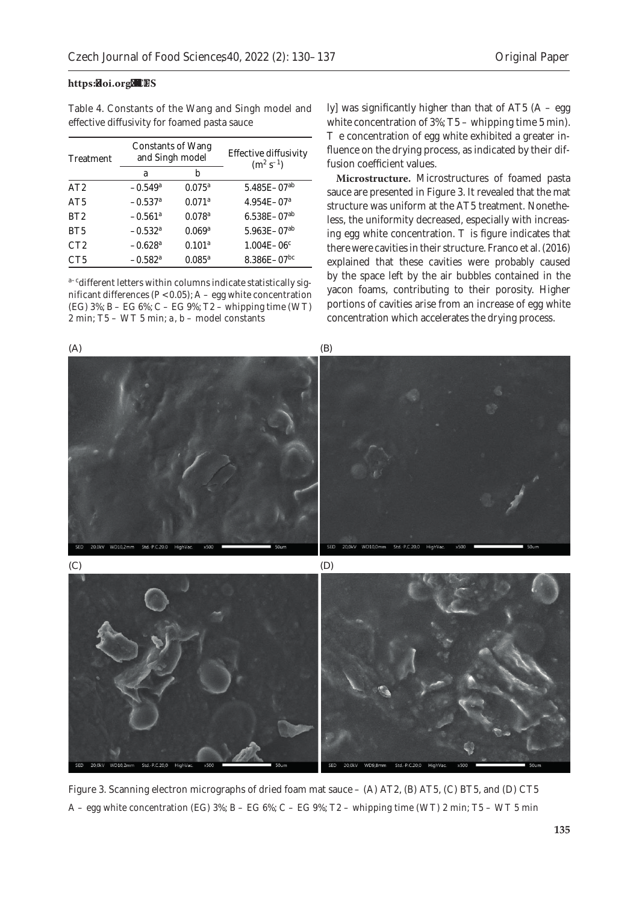| Table 4. Constants of the Wang and Singh model and |  |  |  |
|----------------------------------------------------|--|--|--|
| effective diffusivity for foamed pasta sauce       |  |  |  |

| Treatment       | Constants of Wang<br>and Singh model |                      | Effective diffusivity<br>$(m^2 s^{-1})$ |
|-----------------|--------------------------------------|----------------------|-----------------------------------------|
|                 | a                                    | h                    |                                         |
| AT2             | $-0.549$ <sup>a</sup>                | $0.075^{\rm a}$      | $5.485E - 07^{ab}$                      |
| AT5             | $-0.537$ <sup>a</sup>                | $0.071$ <sup>a</sup> | $4.954E - 07a$                          |
| BT2             | $-0.561$ <sup>a</sup>                | $0.078^{a}$          | $6.538E - 07^{ab}$                      |
| BT <sub>5</sub> | $-0.532$ <sup>a</sup>                | 0.069 <sup>a</sup>   | $5.963E - 07^{ab}$                      |
| CT2             | $-0.628$ <sup>a</sup>                | 0.101 <sup>a</sup>   | $1.004E - 06c$                          |
| CT5             | $-0.582$ <sup>a</sup>                | $0.085^{\rm a}$      | $8.386E - 07$ <sup>bc</sup>             |

a-cdifferent letters within columns indicate statistically significant differences ( $P < 0.05$ ); A – egg white concentration (EG) 3%; B – EG 6%; C – EG 9%; T2 – whipping time (WT) 2 min; T5 – WT 5 min; *a, b* – model constants

ly] was significantly higher than that of AT5  $(A - \text{egg})$ white concentration of 3%; T5 – whipping time 5 min). The concentration of egg white exhibited a greater influence on the drying process, as indicated by their diffusion coefficient values.

**Microstructure.** Microstructures of foamed pasta sauce are presented in Figure 3. It revealed that the mat structure was uniform at the AT5 treatment. Nonetheless, the uniformity decreased, especially with increasing egg white concentration. This figure indicates that there were cavities in their structure. Franco et al. (2016) explained that these cavities were probably caused by the space left by the air bubbles contained in the yacon foams, contributing to their porosity. Higher portions of cavities arise from an increase of egg white concentration which accelerates the drying process.



Figure 3. Scanning electron micrographs of dried foam mat sauce – (A) AT2, (B) AT5, (C) BT5, and (D) CT5 A – egg white concentration (EG)  $3\%$ ; B – EG  $6\%$ ; C – EG  $9\%$ ; T2 – whipping time (WT) 2 min; T5 – WT 5 min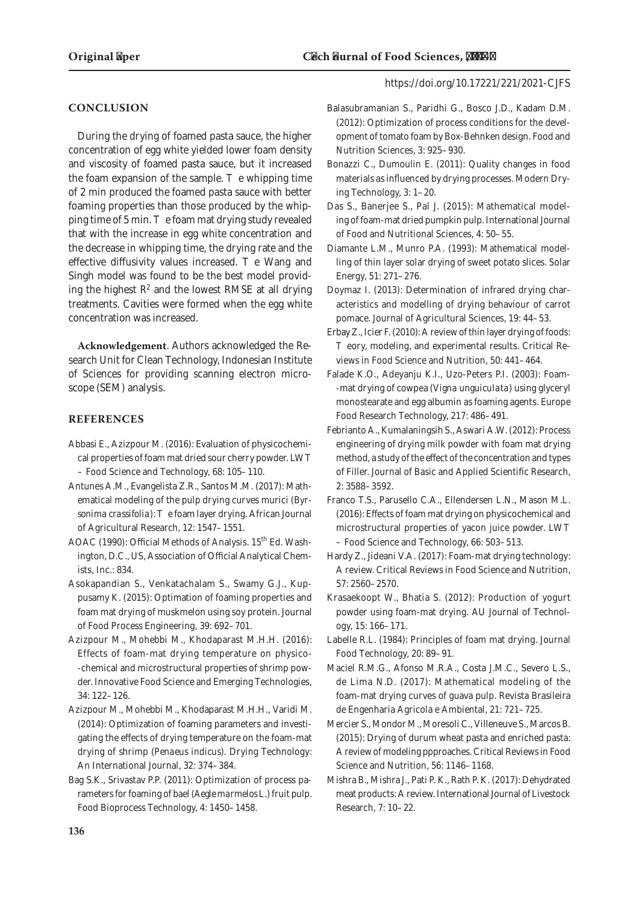# **CONCLUSION**

During the drying of foamed pasta sauce, the higher concentration of egg white yielded lower foam density and viscosity of foamed pasta sauce, but it increased the foam expansion of the sample. The whipping time of 2 min produced the foamed pasta sauce with better foaming properties than those produced by the whipping time of 5 min. The foam mat drying study revealed that with the increase in egg white concentration and the decrease in whipping time, the drying rate and the effective diffusivity values increased. The Wang and Singh model was found to be the best model providing the highest  $R^2$  and the lowest RMSE at all drying treatments. Cavities were formed when the egg white concentration was increased.

**Acknowledgement**. Authors acknowledged the Research Unit for Clean Technology, Indonesian Institute of Sciences for providing scanning electron microscope (SEM) analysis.

# **REFERENCES**

- Abbasi E., Azizpour M. (2016): Evaluation of physicochemical properties of foam mat dried sour cherry powder. LWT – Food Science and Technology, 68: 105–110.
- Antunes A.M., Evangelista Z.R., Santos M.M. (2017): Mathematical modeling of the pulp drying curves murici (*Byrsonima crassifolia*): The foam layer drying. African Journal of Agricultural Research, 12: 1547–1551.
- AOAC (1990): Official Methods of Analysis. 15<sup>th</sup> Ed. Washington, D.C., US, Association of Official Analytical Chemists, Inc.: 834.
- Asokapandian S., Venkatachalam S., Swamy G.J., Kuppusamy K. (2015): Optimation of foaming properties and foam mat drying of muskmelon using soy protein. Journal of Food Process Engineering, 39: 692–701.
- Azizpour M., Mohebbi M., Khodaparast M.H.H. (2016): Effects of foam-mat drying temperature on physico- -chemical and microstructural properties of shrimp powder. Innovative Food Science and Emerging Technologies, 34: 122–126.
- Azizpour M., Mohebbi M., Khodaparast M.H.H., Varidi M. (2014): Optimization of foaming parameters and investigating the effects of drying temperature on the foam-mat drying of shrimp (*Penaeus indicus*). Drying Technology: An International Journal, 32: 374–384.
- Bag S.K., Srivastav P.P. (2011): Optimization of process parameters for foaming of bael (*Aegle marmelos* L.) fruit pulp. Food Bioprocess Technology, 4: 1450–1458.
- Balasubramanian S., Paridhi G., Bosco J.D., Kadam D.M. (2012): Optimization of process conditions for the development of tomato foam by Box-Behnken design. Food and Nutrition Sciences, 3: 925–930.
- Bonazzi C., Dumoulin E. (2011): Quality changes in food materials as influenced by drying processes. Modern Drying Technology, 3: 1–20.
- Das S., Banerjee S., Pal J. (2015): Mathematical modeling of foam-mat dried pumpkin pulp. International Journal of Food and Nutritional Sciences, 4: 50–55.
- Diamante L.M., Munro P.A. (1993): Mathematical modelling of thin layer solar drying of sweet potato slices. Solar Energy, 51: 271–276.
- Doymaz I. (2013): Determination of infrared drying characteristics and modelling of drying behaviour of carrot pomace. Journal of Agricultural Sciences, 19: 44–53.
- Erbay Z., Icier F. (2010): A review of thin layer drying of foods: Theory, modeling, and experimental results. Critical Reviews in Food Science and Nutrition, 50: 441–464.
- Falade K.O., Adeyanju K.I., Uzo-Peters P.I. (2003): Foam- -mat drying of cowpea (*Vigna unguiculata*) using glyceryl monostearate and egg albumin as foaming agents. Europe Food Research Technology, 217: 486–491.
- Febrianto A., Kumalaningsih S., Aswari A.W. (2012): Process engineering of drying milk powder with foam mat drying method, a study of the effect of the concentration and types of Filler. Journal of Basic and Applied Scientific Research, 2: 3588–3592.
- Franco T.S., Parusello C.A., Ellendersen L.N., Mason M.L. (2016): Effects of foam mat drying on physicochemical and microstructural properties of yacon juice powder. LWT – Food Science and Technology, 66: 503–513.
- Hardy Z., Jideani V.A. (2017): Foam-mat drying technology: A review. Critical Reviews in Food Science and Nutrition, 57: 2560–2570.
- Krasaekoopt W., Bhatia S. (2012): Production of yogurt powder using foam-mat drying. AU Journal of Technology, 15: 166–171.
- Labelle R.L. (1984): Principles of foam mat drying. Journal Food Technology, 20: 89–91.
- Maciel R.M.G., Afonso M.R.A., Costa J.M.C., Severo L.S., de Lima N.D. (2017): Mathematical modeling of the foam-mat drying curves of guava pulp. Revista Brasileira de Engenharia Agricola e Ambiental, 21: 721–725.
- Mercier S., Mondor M., Moresoli C., Villeneuve S., Marcos B. (2015): Drying of durum wheat pasta and enriched pasta: A review of modeling ppproaches. Critical Reviews in Food Science and Nutrition, 56: 1146–1168.
- Mishra B., Mishra J., Pati P. K., Rath P. K. (2017): Dehydrated meat products: A review. International Journal of Livestock Research, 7: 10–22.